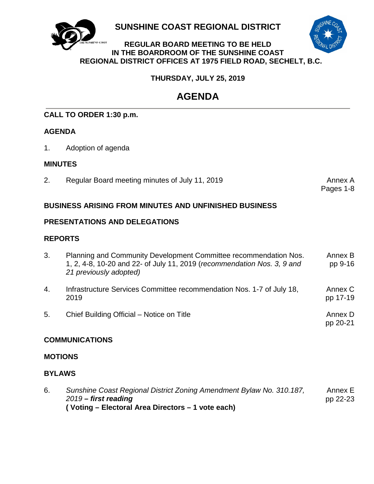

**SUNSHINE COAST REGIONAL DISTRICT**

# **REGULAR BOARD MEETING TO BE HELD IN THE BOARDROOM OF THE SUNSHINE COAST REGIONAL DISTRICT OFFICES AT 1975 FIELD ROAD, SECHELT, B.C.**

# **THURSDAY, JULY 25, 2019**

# **AGENDA**

# **CALL TO ORDER 1:30 p.m.**

# **AGENDA**

1. Adoption of agenda

# **MINUTES**

2. [Regular Board meeting minutes of](#page-3-0) July 11, 2019 **Annex A**nnex A

Pages 1-8

# **BUSINESS ARISING FROM MINUTES AND UNFINISHED BUSINESS**

# **PRESENTATIONS AND DELEGATIONS**

# **REPORTS**

| 3. | Planning and Community Development Committee recommendation Nos.<br>1, 2, 4-8, 10-20 and 22- of July 11, 2019 (recommendation Nos. 3, 9 and<br>21 previously adopted) | Annex B<br>pp 9-16  |
|----|-----------------------------------------------------------------------------------------------------------------------------------------------------------------------|---------------------|
| 4. | Infrastructure Services Committee recommendation Nos. 1-7 of July 18,<br>2019                                                                                         | Annex C<br>pp 17-19 |
| 5. | Chief Building Official – Notice on Title                                                                                                                             | Annex D<br>pp 20-21 |

# **COMMUNICATIONS**

# **MOTIONS**

# **BYLAWS**

6. *[Sunshine Coast Regional District Zoning Amendment Bylaw No. 310.187,](#page-24-0)  2019 – first reading* **( Voting – Electoral Area Directors – 1 vote each)** Annex E pp 22-23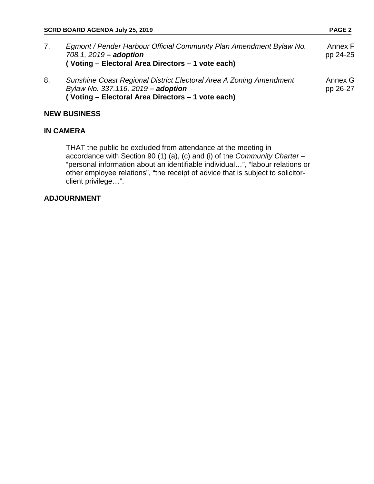| SCRD BOARD AGENDA July 25, 2019 |                                                                                                                                                               | <b>PAGE 2</b>       |  |
|---------------------------------|---------------------------------------------------------------------------------------------------------------------------------------------------------------|---------------------|--|
| 7.                              | Egmont / Pender Harbour Official Community Plan Amendment Bylaw No.<br>708.1, 2019 - adoption<br>(Voting – Electoral Area Directors – 1 vote each)            | Annex F<br>pp 24-25 |  |
| 8.                              | Sunshine Coast Regional District Electoral Area A Zoning Amendment<br>Bylaw No. 337.116, 2019 - adoption<br>(Voting - Electoral Area Directors - 1 vote each) | Annex G<br>pp 26-27 |  |

# **NEW BUSINESS**

# **IN CAMERA**

THAT the public be excluded from attendance at the meeting in accordance with Section 90 (1) (a), (c) and (i) of the *Community Charter* – "personal information about an identifiable individual…", "labour relations or other employee relations", "the receipt of advice that is subject to solicitorclient privilege…".

# **ADJOURNMENT**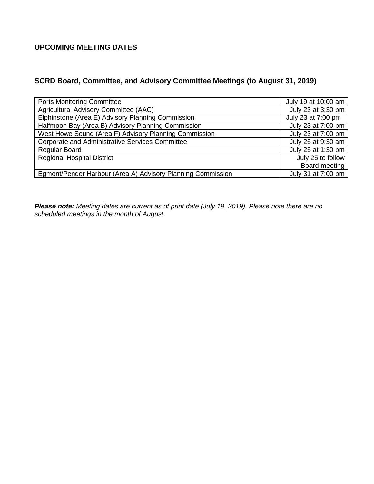# **UPCOMING MEETING DATES**

# **SCRD Board, Committee, and Advisory Committee Meetings (to August 31, 2019)**

| <b>Ports Monitoring Committee</b>                           | July 19 at 10:00 am |
|-------------------------------------------------------------|---------------------|
| Agricultural Advisory Committee (AAC)                       | July 23 at 3:30 pm  |
| Elphinstone (Area E) Advisory Planning Commission           | July 23 at 7:00 pm  |
| Halfmoon Bay (Area B) Advisory Planning Commission          | July 23 at 7:00 pm  |
| West Howe Sound (Area F) Advisory Planning Commission       | July 23 at 7:00 pm  |
| <b>Corporate and Administrative Services Committee</b>      | July 25 at 9:30 am  |
| <b>Regular Board</b>                                        | July 25 at 1:30 pm  |
| <b>Regional Hospital District</b>                           | July 25 to follow   |
|                                                             | Board meeting       |
| Egmont/Pender Harbour (Area A) Advisory Planning Commission | July 31 at 7:00 pm  |

*Please note: Meeting dates are current as of print date (July 19, 2019). Please note there are no scheduled meetings in the month of August.*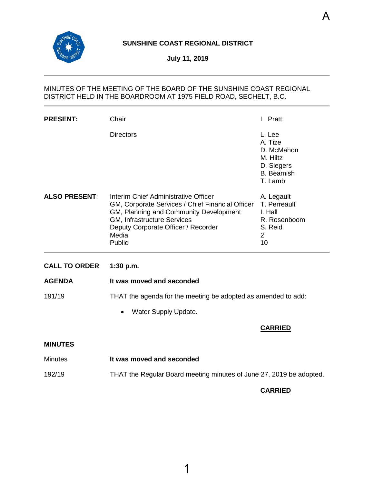<span id="page-3-0"></span>

# **SUNSHINE COAST REGIONAL DISTRICT**

**July 11, 2019**

# MINUTES OF THE MEETING OF THE BOARD OF THE SUNSHINE COAST REGIONAL DISTRICT HELD IN THE BOARDROOM AT 1975 FIELD ROAD, SECHELT, B.C.

| <b>PRESENT:</b>      | Chair                                                                                                                                                                                                                       | L. Pratt                                                                                  |
|----------------------|-----------------------------------------------------------------------------------------------------------------------------------------------------------------------------------------------------------------------------|-------------------------------------------------------------------------------------------|
|                      | <b>Directors</b>                                                                                                                                                                                                            | L. Lee<br>A. Tize<br>D. McMahon<br>M. Hiltz<br>D. Siegers<br><b>B.</b> Beamish<br>T. Lamb |
| <b>ALSO PRESENT:</b> | Interim Chief Administrative Officer<br>GM, Corporate Services / Chief Financial Officer<br>GM, Planning and Community Development<br>GM, Infrastructure Services<br>Deputy Corporate Officer / Recorder<br>Media<br>Public | A. Legault<br>T. Perreault<br>I. Hall<br>R. Rosenboom<br>S. Reid<br>$\overline{2}$<br>10  |
| <b>CALL TO ORDER</b> | 1:30 p.m.                                                                                                                                                                                                                   |                                                                                           |
| <b>AGENDA</b>        | It was moved and seconded                                                                                                                                                                                                   |                                                                                           |
| 191/19               | THAT the agenda for the meeting be adopted as amended to add:                                                                                                                                                               |                                                                                           |
|                      | Water Supply Update.<br>$\bullet$                                                                                                                                                                                           |                                                                                           |
|                      |                                                                                                                                                                                                                             | <b>CARRIED</b>                                                                            |
| <b>MINUTES</b>       |                                                                                                                                                                                                                             |                                                                                           |
| <b>Minutes</b>       | It was moved and seconded                                                                                                                                                                                                   |                                                                                           |

# 192/19 THAT the Regular Board meeting minutes of June 27, 2019 be adopted.

# **CARRIED**

A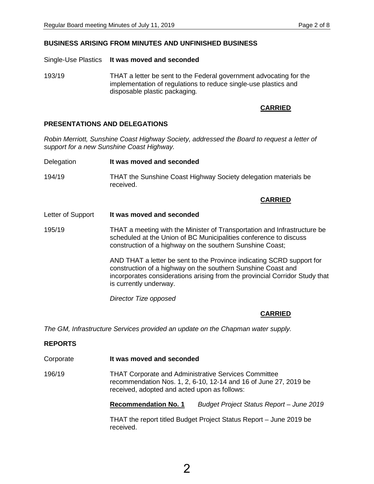#### **BUSINESS ARISING FROM MINUTES AND UNFINISHED BUSINESS**

Single-Use Plastics **It was moved and seconded**

193/19 THAT a letter be sent to the Federal government advocating for the implementation of regulations to reduce single-use plastics and disposable plastic packaging*.* 

### **CARRIED**

#### **PRESENTATIONS AND DELEGATIONS**

*Robin Merriott, Sunshine Coast Highway Society, addressed the Board to request a letter of support for a new Sunshine Coast Highway.*

Delegation **It was moved and seconded** 194/19 THAT the Sunshine Coast Highway Society delegation materials be received.

#### **CARRIED**

- Letter of Support **It was moved and seconded**
- 195/19 THAT a meeting with the Minister of Transportation and Infrastructure be scheduled at the Union of BC Municipalities conference to discuss construction of a highway on the southern Sunshine Coast;

AND THAT a letter be sent to the Province indicating SCRD support for construction of a highway on the southern Sunshine Coast and incorporates considerations arising from the provincial Corridor Study that is currently underway.

*Director Tize opposed*

# **CARRIED**

*The GM, Infrastructure Services provided an update on the Chapman water supply.*

#### **REPORTS**

- Corporate **It was moved and seconded**
- 196/19 THAT Corporate and Administrative Services Committee recommendation Nos. 1, 2, 6-10, 12-14 and 16 of June 27, 2019 be received, adopted and acted upon as follows:

**Recommendation No. 1** *Budget Project Status Report – June 2019*

THAT the report titled Budget Project Status Report – June 2019 be received.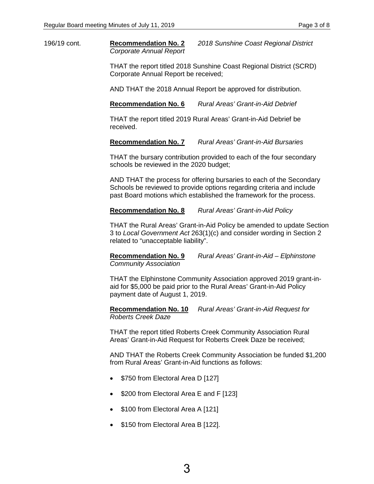196/19 cont. **Recommendation No. 2** *2018 Sunshine Coast Regional District Corporate Annual Report*

> THAT the report titled 2018 Sunshine Coast Regional District (SCRD) Corporate Annual Report be received;

AND THAT the 2018 Annual Report be approved for distribution.

**Recommendation No. 6** *Rural Areas' Grant-in-Aid Debrief*

THAT the report titled 2019 Rural Areas' Grant-in-Aid Debrief be received.

**Recommendation No. 7** *Rural Areas' Grant-in-Aid Bursaries*

THAT the bursary contribution provided to each of the four secondary schools be reviewed in the 2020 budget;

AND THAT the process for offering bursaries to each of the Secondary Schools be reviewed to provide options regarding criteria and include past Board motions which established the framework for the process.

**Recommendation No. 8** *Rural Areas' Grant-in-Aid Policy*

THAT the Rural Areas' Grant-in-Aid Policy be amended to update Section 3 to *Local Government Act* 263(1)(c) and consider wording in Section 2 related to "unacceptable liability".

**Recommendation No. 9** *Rural Areas' Grant-in-Aid – Elphinstone Community Association*

THAT the Elphinstone Community Association approved 2019 grant-inaid for \$5,000 be paid prior to the Rural Areas' Grant-in-Aid Policy payment date of August 1, 2019.

**Recommendation No. 10** *Rural Areas' Grant-in-Aid Request for Roberts Creek Daze*

THAT the report titled Roberts Creek Community Association Rural Areas' Grant-in-Aid Request for Roberts Creek Daze be received;

AND THAT the Roberts Creek Community Association be funded \$1,200 from Rural Areas' Grant-in-Aid functions as follows:

- \$750 from Electoral Area D [127]
- \$200 from Electoral Area E and F [123]
- \$100 from Electoral Area A [121]
- \$150 from Electoral Area B [122].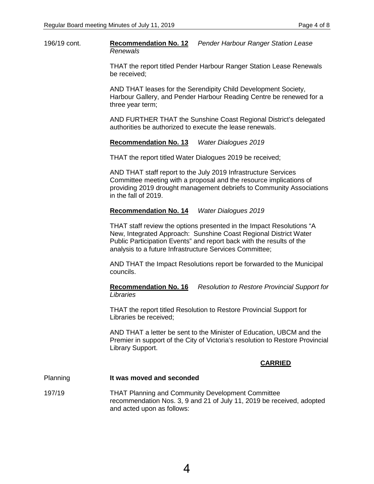196/19 cont. **Recommendation No. 12** *Pender Harbour Ranger Station Lease Renewals*

> THAT the report titled Pender Harbour Ranger Station Lease Renewals be received;

> AND THAT leases for the Serendipity Child Development Society, Harbour Gallery, and Pender Harbour Reading Centre be renewed for a three year term;

> AND FURTHER THAT the Sunshine Coast Regional District's delegated authorities be authorized to execute the lease renewals.

**Recommendation No. 13** *Water Dialogues 2019*

THAT the report titled Water Dialogues 2019 be received;

AND THAT staff report to the July 2019 Infrastructure Services Committee meeting with a proposal and the resource implications of providing 2019 drought management debriefs to Community Associations in the fall of 2019.

#### **Recommendation No. 14** *Water Dialogues 2019*

THAT staff review the options presented in the Impact Resolutions "A New, Integrated Approach: Sunshine Coast Regional District Water Public Participation Events" and report back with the results of the analysis to a future Infrastructure Services Committee;

AND THAT the Impact Resolutions report be forwarded to the Municipal councils.

**Recommendation No. 16** *Resolution to Restore Provincial Support for Libraries*

THAT the report titled Resolution to Restore Provincial Support for Libraries be received;

AND THAT a letter be sent to the Minister of Education, UBCM and the Premier in support of the City of Victoria's resolution to Restore Provincial Library Support.

#### **CARRIED**

#### Planning **It was moved and seconded**

197/19 THAT Planning and Community Development Committee recommendation Nos. 3, 9 and 21 of July 11, 2019 be received, adopted and acted upon as follows: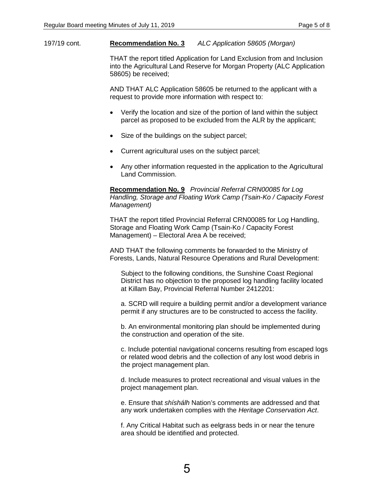#### 197/19 cont. **Recommendation No. 3** *ALC Application 58605 (Morgan)*

THAT the report titled Application for Land Exclusion from and Inclusion into the Agricultural Land Reserve for Morgan Property (ALC Application 58605) be received;

AND THAT ALC Application 58605 be returned to the applicant with a request to provide more information with respect to:

- Verify the location and size of the portion of land within the subject parcel as proposed to be excluded from the ALR by the applicant;
- Size of the buildings on the subject parcel;
- Current agricultural uses on the subject parcel;
- Any other information requested in the application to the Agricultural Land Commission.

**Recommendation No. 9** *Provincial Referral CRN00085 for Log Handling, Storage and Floating Work Camp (Tsain-Ko / Capacity Forest Management)*

THAT the report titled Provincial Referral CRN00085 for Log Handling, Storage and Floating Work Camp (Tsain-Ko / Capacity Forest Management) – Electoral Area A be received;

AND THAT the following comments be forwarded to the Ministry of Forests, Lands, Natural Resource Operations and Rural Development:

Subject to the following conditions, the Sunshine Coast Regional District has no objection to the proposed log handling facility located at Killam Bay, Provincial Referral Number 2412201:

a. SCRD will require a building permit and/or a development variance permit if any structures are to be constructed to access the facility.

b. An environmental monitoring plan should be implemented during the construction and operation of the site.

c. Include potential navigational concerns resulting from escaped logs or related wood debris and the collection of any lost wood debris in the project management plan.

d. Include measures to protect recreational and visual values in the project management plan.

e. Ensure that *shíshálh* Nation's comments are addressed and that any work undertaken complies with the *Heritage Conservation Act*.

f. Any Critical Habitat such as eelgrass beds in or near the tenure area should be identified and protected.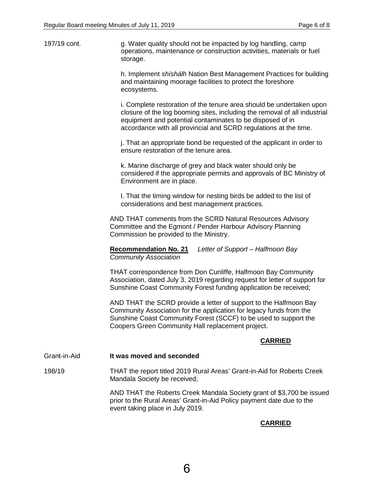197/19 cont. g. Water quality should not be impacted by log handling, camp operations, maintenance or construction activities, materials or fuel storage.

> h. Implement *shíshálh* Nation Best Management Practices for building and maintaining moorage facilities to protect the foreshore ecosystems.

> i. Complete restoration of the tenure area should be undertaken upon closure of the log booming sites, including the removal of all industrial equipment and potential contaminates to be disposed of in accordance with all provincial and SCRD regulations at the time.

j. That an appropriate bond be requested of the applicant in order to ensure restoration of the tenure area.

k. Marine discharge of grey and black water should only be considered if the appropriate permits and approvals of BC Ministry of Environment are in place.

l. That the timing window for nesting birds be added to the list of considerations and best management practices.

AND THAT comments from the SCRD Natural Resources Advisory Committee and the Egmont / Pender Harbour Advisory Planning Commission be provided to the Ministry.

**Recommendation No. 21** *Letter of Support – Halfmoon Bay Community Association*

THAT correspondence from Don Cunliffe, Halfmoon Bay Community Association, dated July 3, 2019 regarding request for letter of support for Sunshine Coast Community Forest funding application be received;

AND THAT the SCRD provide a letter of support to the Halfmoon Bay Community Association for the application for legacy funds from the Sunshine Coast Community Forest (SCCF) to be used to support the Coopers Green Community Hall replacement project.

# **CARRIED**

Grant-in-Aid **It was moved and seconded**

198/19 THAT the report titled 2019 Rural Areas' Grant-in-Aid for Roberts Creek Mandala Society be received;

> AND THAT the Roberts Creek Mandala Society grant of \$3,700 be issued prior to the Rural Areas' Grant-in-Aid Policy payment date due to the event taking place in July 2019.

# **CARRIED**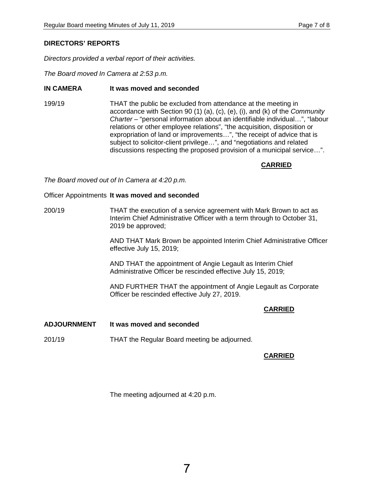# **DIRECTORS' REPORTS**

*Directors provided a verbal report of their activities.*

*The Board moved In Camera at 2:53 p.m.*

# **IN CAMERA It was moved and seconded**

199/19 THAT the public be excluded from attendance at the meeting in accordance with Section 90 (1) (a), (c), (e), (i), and (k) of the *Community Charter* – "personal information about an identifiable individual…", "labour relations or other employee relations", "the acquisition, disposition or expropriation of land or improvements…", "the receipt of advice that is subject to solicitor-client privilege…", and "negotiations and related discussions respecting the proposed provision of a municipal service…".

# **CARRIED**

*The Board moved out of In Camera at 4:20 p.m.*

#### Officer Appointments **It was moved and seconded**

200/19 THAT the execution of a service agreement with Mark Brown to act as Interim Chief Administrative Officer with a term through to October 31, 2019 be approved;

> AND THAT Mark Brown be appointed Interim Chief Administrative Officer effective July 15, 2019;

AND THAT the appointment of Angie Legault as Interim Chief Administrative Officer be rescinded effective July 15, 2019;

AND FURTHER THAT the appointment of Angie Legault as Corporate Officer be rescinded effective July 27, 2019.

# **CARRIED**

- **ADJOURNMENT It was moved and seconded**
- 201/19 THAT the Regular Board meeting be adjourned.

# **CARRIED**

The meeting adjourned at 4:20 p.m.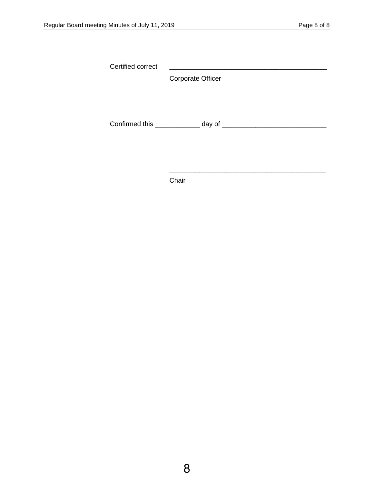Certified correct \_\_\_\_\_\_\_\_\_\_\_\_\_\_\_\_\_\_\_\_\_\_\_\_\_\_\_\_\_\_\_\_\_\_\_\_\_\_\_\_\_\_\_

Corporate Officer

Confirmed this \_\_\_\_\_\_\_\_\_\_\_\_ day of \_\_\_\_\_\_\_\_\_\_\_\_\_\_\_\_\_\_\_\_\_\_\_\_\_\_\_\_

\_\_\_\_\_\_\_\_\_\_\_\_\_\_\_\_\_\_\_\_\_\_\_\_\_\_\_\_\_\_\_\_\_\_\_\_\_\_\_\_\_\_

Chair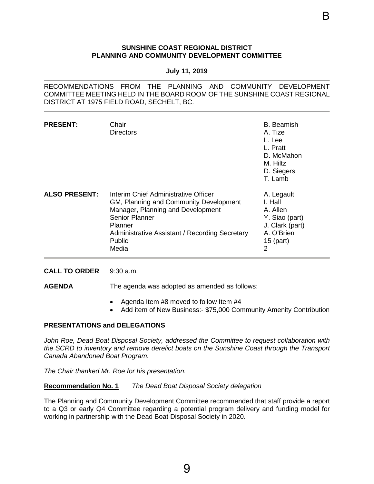#### **SUNSHINE COAST REGIONAL DISTRICT PLANNING AND COMMUNITY DEVELOPMENT COMMITTEE**

#### **July 11, 2019**

<span id="page-11-0"></span>RECOMMENDATIONS FROM THE PLANNING AND COMMUNITY DEVELOPMENT COMMITTEE MEETING HELD IN THE BOARD ROOM OF THE SUNSHINE COAST REGIONAL DISTRICT AT 1975 FIELD ROAD, SECHELT, BC.

| <b>PRESENT:</b>      | Chair<br>Directors                                                                                                                                                                                                    | B. Beamish<br>A. Tize<br>L. Lee<br>L. Pratt<br>D. McMahon<br>M. Hiltz<br>D. Siegers<br>T. Lamb           |
|----------------------|-----------------------------------------------------------------------------------------------------------------------------------------------------------------------------------------------------------------------|----------------------------------------------------------------------------------------------------------|
| <b>ALSO PRESENT:</b> | Interim Chief Administrative Officer<br>GM, Planning and Community Development<br>Manager, Planning and Development<br>Senior Planner<br>Planner<br>Administrative Assistant / Recording Secretary<br>Public<br>Media | A. Legault<br>I. Hall<br>A. Allen<br>Y. Siao (part)<br>J. Clark (part)<br>A. O'Brien<br>$15$ (part)<br>2 |

**CALL TO ORDER** 9:30 a.m.

**AGENDA** The agenda was adopted as amended as follows:

- Agenda Item #8 moved to follow Item #4
- Add item of New Business:- \$75,000 Community Amenity Contribution

# **PRESENTATIONS and DELEGATIONS**

*John Roe, Dead Boat Disposal Society, addressed the Committee to request collaboration with the SCRD to inventory and remove derelict boats on the Sunshine Coast through the Transport Canada Abandoned Boat Program.* 

*The Chair thanked Mr. Roe for his presentation.* 

**Recommendation No. 1** *The Dead Boat Disposal Society delegation*

The Planning and Community Development Committee recommended that staff provide a report to a Q3 or early Q4 Committee regarding a potential program delivery and funding model for working in partnership with the Dead Boat Disposal Society in 2020.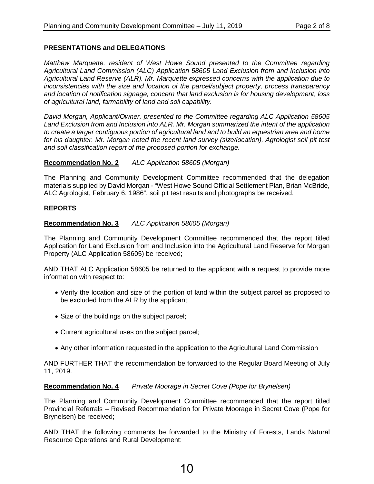# **PRESENTATIONS and DELEGATIONS**

*Matthew Marquette, resident of West Howe Sound presented to the Committee regarding Agricultural Land Commission (ALC) Application 58605 Land Exclusion from and Inclusion into Agricultural Land Reserve (ALR). Mr. Marquette expressed concerns with the application due to inconsistencies with the size and location of the parcel/subject property, process transparency and location of notification signage, concern that land exclusion is for housing development, loss of agricultural land, farmability of land and soil capability.* 

*David Morgan, Applicant/Owner, presented to the Committee regarding ALC Application 58605 Land Exclusion from and Inclusion into ALR. Mr. Morgan summarized the intent of the application to create a larger contiguous portion of agricultural land and to build an equestrian area and home for his daughter. Mr. Morgan noted the recent land survey (size/location), Agrologist soil pit test and soil classification report of the proposed portion for exchange.*

# **Recommendation No. 2** *ALC Application 58605 (Morgan)*

The Planning and Community Development Committee recommended that the delegation materials supplied by David Morgan - "West Howe Sound Official Settlement Plan, Brian McBride, ALC Agrologist, February 6, 1986", soil pit test results and photographs be received.

# **REPORTS**

# **Recommendation No. 3** *ALC Application 58605 (Morgan)*

The Planning and Community Development Committee recommended that the report titled Application for Land Exclusion from and Inclusion into the Agricultural Land Reserve for Morgan Property (ALC Application 58605) be received;

AND THAT ALC Application 58605 be returned to the applicant with a request to provide more information with respect to:

- Verify the location and size of the portion of land within the subject parcel as proposed to be excluded from the ALR by the applicant;
- Size of the buildings on the subject parcel;
- Current agricultural uses on the subject parcel;
- Any other information requested in the application to the Agricultural Land Commission

AND FURTHER THAT the recommendation be forwarded to the Regular Board Meeting of July 11, 2019.

# **Recommendation No. 4** *Private Moorage in Secret Cove (Pope for Brynelsen)*

The Planning and Community Development Committee recommended that the report titled Provincial Referrals – Revised Recommendation for Private Moorage in Secret Cove (Pope for Brynelsen) be received;

AND THAT the following comments be forwarded to the Ministry of Forests, Lands Natural Resource Operations and Rural Development: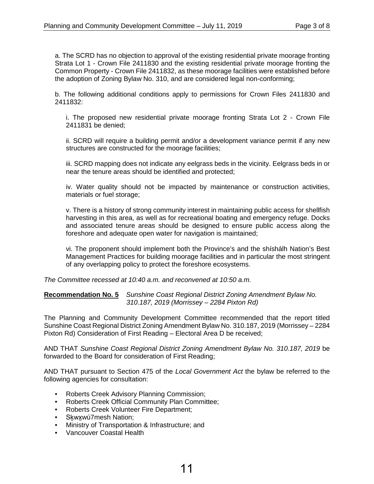a. The SCRD has no objection to approval of the existing residential private moorage fronting Strata Lot 1 - Crown File 2411830 and the existing residential private moorage fronting the Common Property - Crown File 2411832, as these moorage facilities were established before the adoption of Zoning Bylaw No. 310, and are considered legal non-conforming;

b. The following additional conditions apply to permissions for Crown Files 2411830 and 2411832:

i. The proposed new residential private moorage fronting Strata Lot 2 - Crown File 2411831 be denied;

ii. SCRD will require a building permit and/or a development variance permit if any new structures are constructed for the moorage facilities;

iii. SCRD mapping does not indicate any eelgrass beds in the vicinity. Eelgrass beds in or near the tenure areas should be identified and protected;

iv. Water quality should not be impacted by maintenance or construction activities, materials or fuel storage;

v. There is a history of strong community interest in maintaining public access for shellfish harvesting in this area, as well as for recreational boating and emergency refuge. Docks and associated tenure areas should be designed to ensure public access along the foreshore and adequate open water for navigation is maintained;

vi. The proponent should implement both the Province's and the shíshálh Nation's Best Management Practices for building moorage facilities and in particular the most stringent of any overlapping policy to protect the foreshore ecosystems.

*The Committee recessed at 10:40 a.m. and reconvened at 10:50 a.m.*

**Recommendation No. 5** *Sunshine Coast Regional District Zoning Amendment Bylaw No. 310.187, 2019 (Morrissey – 2284 Pixton Rd)*

The Planning and Community Development Committee recommended that the report titled Sunshine Coast Regional District Zoning Amendment Bylaw No. 310.187, 2019 (Morrissey – 2284 Pixton Rd) Consideration of First Reading – Electoral Area D be received;

AND THAT *Sunshine Coast Regional District Zoning Amendment Bylaw No. 310.187, 2019* be forwarded to the Board for consideration of First Reading;

AND THAT pursuant to Section 475 of the *Local Government Act* the bylaw be referred to the following agencies for consultation:

- Roberts Creek Advisory Planning Commission;
- Roberts Creek Official Community Plan Committee;
- Roberts Creek Volunteer Fire Department;
- Skwxwú7mesh Nation;
- Ministry of Transportation & Infrastructure; and
- Vancouver Coastal Health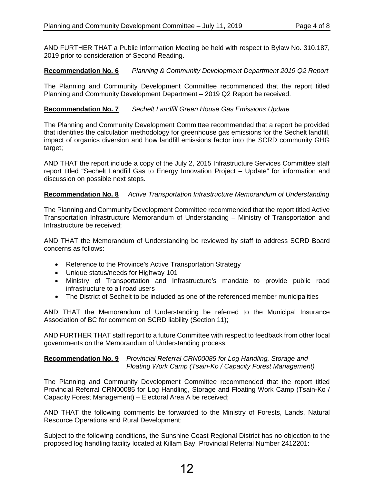AND FURTHER THAT a Public Information Meeting be held with respect to Bylaw No. 310.187, 2019 prior to consideration of Second Reading.

# **Recommendation No. 6** *Planning & Community Development Department 2019 Q2 Report*

The Planning and Community Development Committee recommended that the report titled Planning and Community Development Department – 2019 Q2 Report be received.

# **Recommendation No. 7** *Sechelt Landfill Green House Gas Emissions Update*

The Planning and Community Development Committee recommended that a report be provided that identifies the calculation methodology for greenhouse gas emissions for the Sechelt landfill, impact of organics diversion and how landfill emissions factor into the SCRD community GHG target;

AND THAT the report include a copy of the July 2, 2015 Infrastructure Services Committee staff report titled "Sechelt Landfill Gas to Energy Innovation Project – Update" for information and discussion on possible next steps.

# **Recommendation No. 8** *Active Transportation Infrastructure Memorandum of Understanding*

The Planning and Community Development Committee recommended that the report titled Active Transportation Infrastructure Memorandum of Understanding – Ministry of Transportation and Infrastructure be received;

AND THAT the Memorandum of Understanding be reviewed by staff to address SCRD Board concerns as follows:

- Reference to the Province's Active Transportation Strategy
- Unique status/needs for Highway 101
- Ministry of Transportation and Infrastructure's mandate to provide public road infrastructure to all road users
- The District of Sechelt to be included as one of the referenced member municipalities

AND THAT the Memorandum of Understanding be referred to the Municipal Insurance Association of BC for comment on SCRD liability (Section 11);

AND FURTHER THAT staff report to a future Committee with respect to feedback from other local governments on the Memorandum of Understanding process.

# **Recommendation No. 9** *Provincial Referral CRN00085 for Log Handling, Storage and Floating Work Camp (Tsain-Ko / Capacity Forest Management)*

The Planning and Community Development Committee recommended that the report titled Provincial Referral CRN00085 for Log Handling, Storage and Floating Work Camp (Tsain-Ko / Capacity Forest Management) – Electoral Area A be received;

AND THAT the following comments be forwarded to the Ministry of Forests, Lands, Natural Resource Operations and Rural Development:

Subject to the following conditions, the Sunshine Coast Regional District has no objection to the proposed log handling facility located at Killam Bay, Provincial Referral Number 2412201: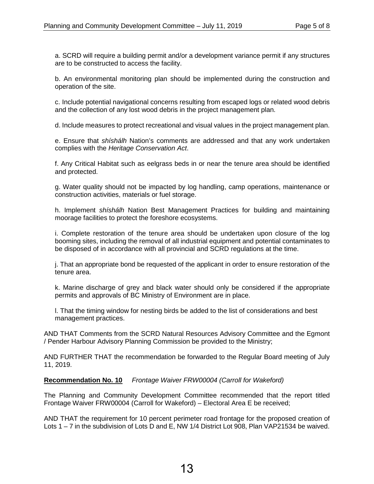a. SCRD will require a building permit and/or a development variance permit if any structures are to be constructed to access the facility.

b. An environmental monitoring plan should be implemented during the construction and operation of the site.

c. Include potential navigational concerns resulting from escaped logs or related wood debris and the collection of any lost wood debris in the project management plan.

d. Include measures to protect recreational and visual values in the project management plan.

e. Ensure that *shíshálh* Nation's comments are addressed and that any work undertaken complies with the *Heritage Conservation Act*.

f. Any Critical Habitat such as eelgrass beds in or near the tenure area should be identified and protected.

g. Water quality should not be impacted by log handling, camp operations, maintenance or construction activities, materials or fuel storage.

h. Implement *shíshálh* Nation Best Management Practices for building and maintaining moorage facilities to protect the foreshore ecosystems.

i. Complete restoration of the tenure area should be undertaken upon closure of the log booming sites, including the removal of all industrial equipment and potential contaminates to be disposed of in accordance with all provincial and SCRD regulations at the time.

j. That an appropriate bond be requested of the applicant in order to ensure restoration of the tenure area.

k. Marine discharge of grey and black water should only be considered if the appropriate permits and approvals of BC Ministry of Environment are in place.

l. That the timing window for nesting birds be added to the list of considerations and best management practices.

AND THAT Comments from the SCRD Natural Resources Advisory Committee and the Egmont / Pender Harbour Advisory Planning Commission be provided to the Ministry;

AND FURTHER THAT the recommendation be forwarded to the Regular Board meeting of July 11, 2019.

**Recommendation No. 10** *Frontage Waiver FRW00004 (Carroll for Wakeford)*

The Planning and Community Development Committee recommended that the report titled Frontage Waiver FRW00004 (Carroll for Wakeford) – Electoral Area E be received;

AND THAT the requirement for 10 percent perimeter road frontage for the proposed creation of Lots 1 – 7 in the subdivision of Lots D and E, NW 1/4 District Lot 908, Plan VAP21534 be waived.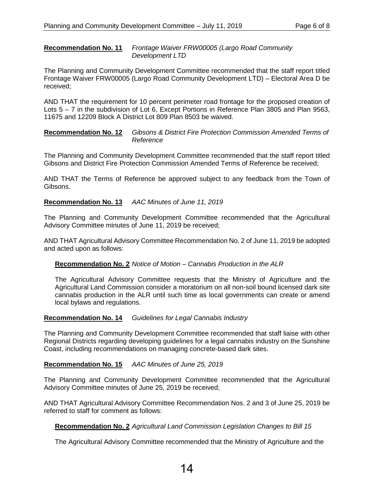#### **Recommendation No. 11** *Frontage Waiver FRW00005 (Largo Road Community Development LTD*

The Planning and Community Development Committee recommended that the staff report titled Frontage Waiver FRW00005 (Largo Road Community Development LTD) – Electoral Area D be received;

AND THAT the requirement for 10 percent perimeter road frontage for the proposed creation of Lots 5 – 7 in the subdivision of Lot 6, Except Portions in Reference Plan 3805 and Plan 9563, 11675 and 12209 Block A District Lot 809 Plan 8503 be waived.

**Recommendation No. 12** *Gibsons & District Fire Protection Commission Amended Terms of Reference*

The Planning and Community Development Committee recommended that the staff report titled Gibsons and District Fire Protection Commission Amended Terms of Reference be received;

AND THAT the Terms of Reference be approved subject to any feedback from the Town of Gibsons.

# **Recommendation No. 13** *AAC Minutes of June 11, 2019*

The Planning and Community Development Committee recommended that the Agricultural Advisory Committee minutes of June 11, 2019 be received;

AND THAT Agricultural Advisory Committee Recommendation No. 2 of June 11, 2019 be adopted and acted upon as follows:

#### **Recommendation No. 2** *Notice of Motion – Cannabis Production in the ALR*

The Agricultural Advisory Committee requests that the Ministry of Agriculture and the Agricultural Land Commission consider a moratorium on all non-soil bound licensed dark site cannabis production in the ALR until such time as local governments can create or amend local bylaws and regulations.

#### **Recommendation No. 14** *Guidelines for Legal Cannabis Industry*

The Planning and Community Development Committee recommended that staff liaise with other Regional Districts regarding developing guidelines for a legal cannabis industry on the Sunshine Coast, including recommendations on managing concrete-based dark sites.

# **Recommendation No. 15** *AAC Minutes of June 25, 2019*

The Planning and Community Development Committee recommended that the Agricultural Advisory Committee minutes of June 25, 2019 be received;

AND THAT Agricultural Advisory Committee Recommendation Nos. 2 and 3 of June 25, 2019 be referred to staff for comment as follows:

#### **Recommendation No. 2** *Agricultural Land Commission Legislation Changes to Bill 15*

The Agricultural Advisory Committee recommended that the Ministry of Agriculture and the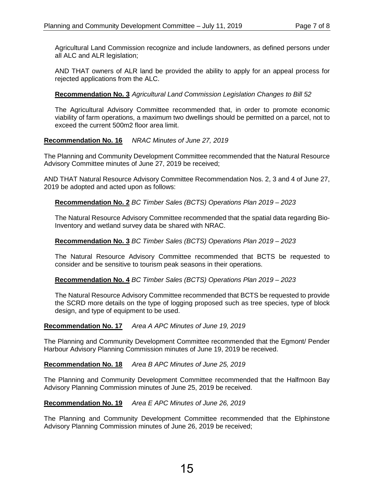Agricultural Land Commission recognize and include landowners, as defined persons under all ALC and ALR legislation;

AND THAT owners of ALR land be provided the ability to apply for an appeal process for rejected applications from the ALC.

# **Recommendation No. 3** *Agricultural Land Commission Legislation Changes to Bill 52*

The Agricultural Advisory Committee recommended that, in order to promote economic viability of farm operations, a maximum two dwellings should be permitted on a parcel, not to exceed the current 500m2 floor area limit.

# **Recommendation No. 16** *NRAC Minutes of June 27, 2019*

The Planning and Community Development Committee recommended that the Natural Resource Advisory Committee minutes of June 27, 2019 be received;

AND THAT Natural Resource Advisory Committee Recommendation Nos. 2, 3 and 4 of June 27, 2019 be adopted and acted upon as follows:

# **Recommendation No. 2** *BC Timber Sales (BCTS) Operations Plan 2019 – 2023*

The Natural Resource Advisory Committee recommended that the spatial data regarding Bio-Inventory and wetland survey data be shared with NRAC.

# **Recommendation No. 3** *BC Timber Sales (BCTS) Operations Plan 2019 – 2023*

The Natural Resource Advisory Committee recommended that BCTS be requested to consider and be sensitive to tourism peak seasons in their operations.

**Recommendation No. 4** *BC Timber Sales (BCTS) Operations Plan 2019 – 2023*

The Natural Resource Advisory Committee recommended that BCTS be requested to provide the SCRD more details on the type of logging proposed such as tree species, type of block design, and type of equipment to be used.

# **Recommendation No. 17** *Area A APC Minutes of June 19, 2019*

The Planning and Community Development Committee recommended that the Egmont/ Pender Harbour Advisory Planning Commission minutes of June 19, 2019 be received.

# **Recommendation No. 18** *Area B APC Minutes of June 25, 2019*

The Planning and Community Development Committee recommended that the Halfmoon Bay Advisory Planning Commission minutes of June 25, 2019 be received.

# **Recommendation No. 19** *Area E APC Minutes of June 26, 2019*

The Planning and Community Development Committee recommended that the Elphinstone Advisory Planning Commission minutes of June 26, 2019 be received;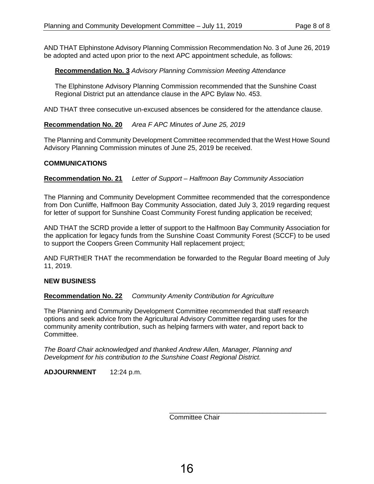AND THAT Elphinstone Advisory Planning Commission Recommendation No. 3 of June 26, 2019 be adopted and acted upon prior to the next APC appointment schedule, as follows:

# **Recommendation No. 3** *Advisory Planning Commission Meeting Attendance*

The Elphinstone Advisory Planning Commission recommended that the Sunshine Coast Regional District put an attendance clause in the APC Bylaw No. 453.

AND THAT three consecutive un-excused absences be considered for the attendance clause.

# **Recommendation No. 20** *Area F APC Minutes of June 25, 2019*

The Planning and Community Development Committee recommended that the West Howe Sound Advisory Planning Commission minutes of June 25, 2019 be received.

# **COMMUNICATIONS**

**Recommendation No. 21** *Letter of Support – Halfmoon Bay Community Association*

The Planning and Community Development Committee recommended that the correspondence from Don Cunliffe, Halfmoon Bay Community Association, dated July 3, 2019 regarding request for letter of support for Sunshine Coast Community Forest funding application be received;

AND THAT the SCRD provide a letter of support to the Halfmoon Bay Community Association for the application for legacy funds from the Sunshine Coast Community Forest (SCCF) to be used to support the Coopers Green Community Hall replacement project;

AND FURTHER THAT the recommendation be forwarded to the Regular Board meeting of July 11, 2019.

# **NEW BUSINESS**

# **Recommendation No. 22** *Community Amenity Contribution for Agriculture*

The Planning and Community Development Committee recommended that staff research options and seek advice from the Agricultural Advisory Committee regarding uses for the community amenity contribution, such as helping farmers with water, and report back to Committee.

*The Board Chair acknowledged and thanked Andrew Allen, Manager, Planning and Development for his contribution to the Sunshine Coast Regional District.*

**ADJOURNMENT** 12:24 p.m.

Committee Chair

\_\_\_\_\_\_\_\_\_\_\_\_\_\_\_\_\_\_\_\_\_\_\_\_\_\_\_\_\_\_\_\_\_\_\_\_\_\_\_\_\_\_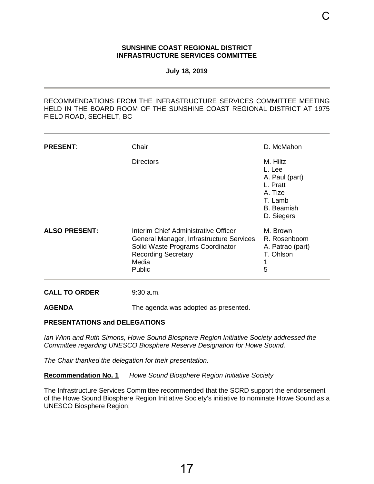#### **SUNSHINE COAST REGIONAL DISTRICT INFRASTRUCTURE SERVICES COMMITTEE**

**July 18, 2019**

<span id="page-19-0"></span>RECOMMENDATIONS FROM THE INFRASTRUCTURE SERVICES COMMITTEE MEETING HELD IN THE BOARD ROOM OF THE SUNSHINE COAST REGIONAL DISTRICT AT 1975 FIELD ROAD, SECHELT, BC

| <b>PRESENT:</b>      | Chair                                                                                                                                                                 | D. McMahon                                                                                                |
|----------------------|-----------------------------------------------------------------------------------------------------------------------------------------------------------------------|-----------------------------------------------------------------------------------------------------------|
|                      | <b>Directors</b>                                                                                                                                                      | M. Hiltz<br>L. Lee<br>A. Paul (part)<br>L. Pratt<br>A. Tize<br>T. Lamb<br><b>B.</b> Beamish<br>D. Siegers |
| <b>ALSO PRESENT:</b> | Interim Chief Administrative Officer<br>General Manager, Infrastructure Services<br>Solid Waste Programs Coordinator<br><b>Recording Secretary</b><br>Media<br>Public | M. Brown<br>R. Rosenboom<br>A. Patrao (part)<br>T. Ohlson<br>5                                            |
| <b>CALL TO ORDER</b> | $9:30$ a.m.                                                                                                                                                           |                                                                                                           |
| <b>AGENDA</b>        | The agenda was adopted as presented.                                                                                                                                  |                                                                                                           |

#### **PRESENTATIONS and DELEGATIONS**

*Ian Winn and Ruth Simons, Howe Sound Biosphere Region Initiative Society addressed the Committee regarding UNESCO Biosphere Reserve Designation for Howe Sound.* 

*The Chair thanked the delegation for their presentation.*

**Recommendation No. 1** *Howe Sound Biosphere Region Initiative Society*

The Infrastructure Services Committee recommended that the SCRD support the endorsement of the Howe Sound Biosphere Region Initiative Society's initiative to nominate Howe Sound as a UNESCO Biosphere Region;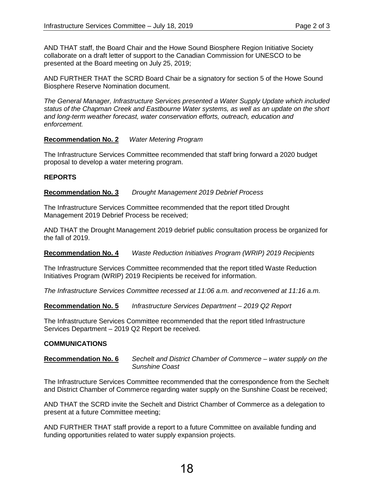AND THAT staff, the Board Chair and the Howe Sound Biosphere Region Initiative Society collaborate on a draft letter of support to the Canadian Commission for UNESCO to be presented at the Board meeting on July 25, 2019;

AND FURTHER THAT the SCRD Board Chair be a signatory for section 5 of the Howe Sound Biosphere Reserve Nomination document.

*The General Manager, Infrastructure Services presented a Water Supply Update which included status of the Chapman Creek and Eastbourne Water systems, as well as an update on the short and long-term weather forecast, water conservation efforts, outreach, education and enforcement.* 

# **Recommendation No. 2** *Water Metering Program*

The Infrastructure Services Committee recommended that staff bring forward a 2020 budget proposal to develop a water metering program.

# **REPORTS**

**Recommendation No. 3** *Drought Management 2019 Debrief Process*

The Infrastructure Services Committee recommended that the report titled Drought Management 2019 Debrief Process be received;

AND THAT the Drought Management 2019 debrief public consultation process be organized for the fall of 2019.

**Recommendation No. 4** *Waste Reduction Initiatives Program (WRIP) 2019 Recipients*

The Infrastructure Services Committee recommended that the report titled Waste Reduction Initiatives Program (WRIP) 2019 Recipients be received for information.

*The Infrastructure Services Committee recessed at 11:06 a.m. and reconvened at 11:16 a.m.*

**Recommendation No. 5** *Infrastructure Services Department – 2019 Q2 Report*

The Infrastructure Services Committee recommended that the report titled Infrastructure Services Department – 2019 Q2 Report be received.

# **COMMUNICATIONS**

#### **Recommendation No. 6** *Sechelt and District Chamber of Commerce – water supply on the Sunshine Coast*

The Infrastructure Services Committee recommended that the correspondence from the Sechelt and District Chamber of Commerce regarding water supply on the Sunshine Coast be received;

AND THAT the SCRD invite the Sechelt and District Chamber of Commerce as a delegation to present at a future Committee meeting;

AND FURTHER THAT staff provide a report to a future Committee on available funding and funding opportunities related to water supply expansion projects.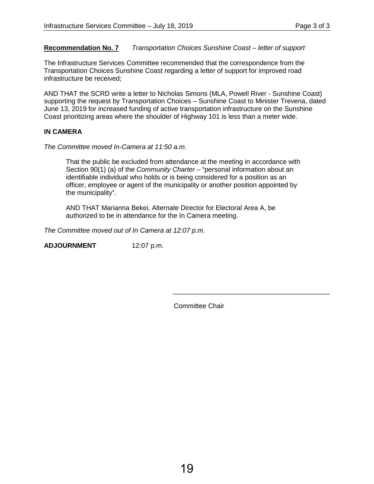### **Recommendation No. 7** *Transportation Choices Sunshine Coast – letter of support*

The Infrastructure Services Committee recommended that the correspondence from the Transportation Choices Sunshine Coast regarding a letter of support for improved road infrastructure be received;

AND THAT the SCRD write a letter to Nicholas Simons (MLA, Powell River - Sunshine Coast) supporting the request by Transportation Choices – Sunshine Coast to Minister Trevena, dated June 13, 2019 for increased funding of active transportation infrastructure on the Sunshine Coast prioritizing areas where the shoulder of Highway 101 is less than a meter wide.

### **IN CAMERA**

*The Committee moved In-Camera at 11:50 a.m.*

That the public be excluded from attendance at the meeting in accordance with Section 90(1) (a) of the *Community Charter* – "personal information about an identifiable individual who holds or is being considered for a position as an officer, employee or agent of the municipality or another position appointed by the municipality".

AND THAT Marianna Bekei, Alternate Director for Electoral Area A, be authorized to be in attendance for the In Camera meeting.

*The Committee moved out of In Camera at 12:07 p.m.*

**ADJOURNMENT** 12:07 p.m.

Committee Chair

\_\_\_\_\_\_\_\_\_\_\_\_\_\_\_\_\_\_\_\_\_\_\_\_\_\_\_\_\_\_\_\_\_\_\_\_\_\_\_\_\_\_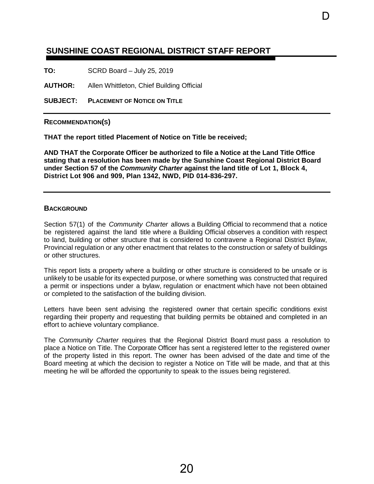# <span id="page-22-0"></span> **SUNSHINE COAST REGIONAL DISTRICT STAFF REPORT**

**TO:** SCRD Board – July 25, 2019

**AUTHOR:** Allen Whittleton, Chief Building Official

**SUBJECT: PLACEMENT OF NOTICE ON TITLE**

**RECOMMENDATION(S)** 

**THAT the report titled Placement of Notice on Title be received;**

**AND THAT the Corporate Officer be authorized to file a Notice at the Land Title Office stating that a resolution has been made by the Sunshine Coast Regional District Board under Section 57 of the** *Community Charter* **against the land title of Lot 1, Block 4, District Lot 906 and 909, Plan 1342, NWD, PID 014-836-297.**

D

#### **BACKGROUND**

Section 57(1) of the *Community Charter* allows a Building Official to recommend that a notice be registered against the land title where a Building Official observes a condition with respect to land, building or other structure that is considered to contravene a Regional District Bylaw, Provincial regulation or any other enactment that relates to the construction or safety of buildings or other structures.

This report lists a property where a building or other structure is considered to be unsafe or is unlikely to be usable for its expected purpose, or where something was constructed that required a permit or inspections under a bylaw, regulation or enactment which have not been obtained or completed to the satisfaction of the building division.

Letters have been sent advising the registered owner that certain specific conditions exist regarding their property and requesting that building permits be obtained and completed in an effort to achieve voluntary compliance.

The *Community Charter* requires that the Regional District Board must pass a resolution to place a Notice on Title. The Corporate Officer has sent a registered letter to the registered owner of the property listed in this report. The owner has been advised of the date and time of the Board meeting at which the decision to register a Notice on Title will be made, and that at this meeting he will be afforded the opportunity to speak to the issues being registered.

20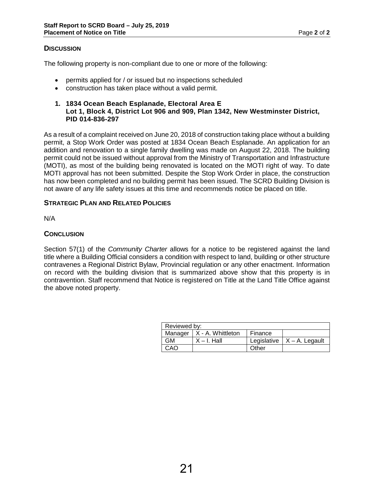# **DISCUSSION**

The following property is non-compliant due to one or more of the following:

- permits applied for / or issued but no inspections scheduled
- construction has taken place without a valid permit.
- **1. 1834 Ocean Beach Esplanade, Electoral Area E Lot 1, Block 4, District Lot 906 and 909, Plan 1342, New Westminster District, PID 014-836-297**

As a result of a complaint received on June 20, 2018 of construction taking place without a building permit, a Stop Work Order was posted at 1834 Ocean Beach Esplanade. An application for an addition and renovation to a single family dwelling was made on August 22, 2018. The building permit could not be issued without approval from the Ministry of Transportation and Infrastructure (MOTI), as most of the building being renovated is located on the MOTI right of way. To date MOTI approval has not been submitted. Despite the Stop Work Order in place, the construction has now been completed and no building permit has been issued. The SCRD Building Division is not aware of any life safety issues at this time and recommends notice be placed on title.

#### **STRATEGIC PLAN AND RELATED POLICIES**

N/A

# **CONCLUSION**

Section 57(1) of the *Community Charter* allows for a notice to be registered against the land title where a Building Official considers a condition with respect to land, building or other structure contravenes a Regional District Bylaw, Provincial regulation or any other enactment. Information on record with the building division that is summarized above show that this property is in contravention. Staff recommend that Notice is registered on Title at the Land Title Office against the above noted property.

| Reviewed by: |                             |         |                                 |  |
|--------------|-----------------------------|---------|---------------------------------|--|
|              | Manager   X - A. Whittleton | Finance |                                 |  |
| GM           | $X - I$ . Hall              |         | Legislative $ X - A $ . Legault |  |
| CAO          |                             | Other   |                                 |  |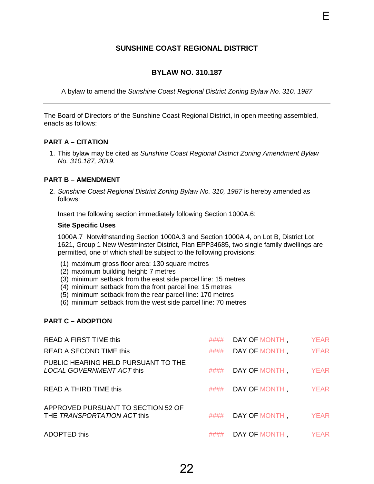# **SUNSHINE COAST REGIONAL DISTRICT**

E

### **BYLAW NO. 310.187**

<span id="page-24-0"></span>A bylaw to amend the *Sunshine Coast Regional District Zoning Bylaw No. 310, 1987*

The Board of Directors of the Sunshine Coast Regional District, in open meeting assembled, enacts as follows:

#### **PART A – CITATION**

1. This bylaw may be cited as *Sunshine Coast Regional District Zoning Amendment Bylaw No. 310.187, 2019.*

#### **PART B – AMENDMENT**

2. *Sunshine Coast Regional District Zoning Bylaw No. 310, 1987* is hereby amended as follows:

Insert the following section immediately following Section 1000A.6:

#### **Site Specific Uses**

1000A.7 Notwithstanding Section 1000A.3 and Section 1000A.4, on Lot B, District Lot 1621, Group 1 New Westminster District, Plan EPP34685, two single family dwellings are permitted, one of which shall be subject to the following provisions:

- (1) maximum gross floor area: 130 square metres
- (2) maximum building height: 7 metres
- (3) minimum setback from the east side parcel line: 15 metres
- (4) minimum setback from the front parcel line: 15 metres
- (5) minimum setback from the rear parcel line: 170 metres
- (6) minimum setback from the west side parcel line: 70 metres

# **PART C – ADOPTION**

| <b>READ A FIRST TIME this</b>                                     |      | #### DAY OF MONTH      | <b>YEAR</b> |
|-------------------------------------------------------------------|------|------------------------|-------------|
| READ A SECOND TIME this                                           |      | #### DAY OF MONTH      | <b>YEAR</b> |
| PUBLIC HEARING HELD PURSUANT TO THE<br>LOCAL GOVERNMENT ACT this  | #### | DAY OF MONTH, YEAR     |             |
| READ A THIRD TIME this                                            |      | #### DAY OF MONTH YEAR |             |
| APPROVED PURSUANT TO SECTION 52 OF<br>THE TRANSPORTATION ACT this | #### | DAY OF MONTH, YEAR     |             |
| <b>ADOPTED this</b>                                               |      | #### DAY OF MONTH YEAR |             |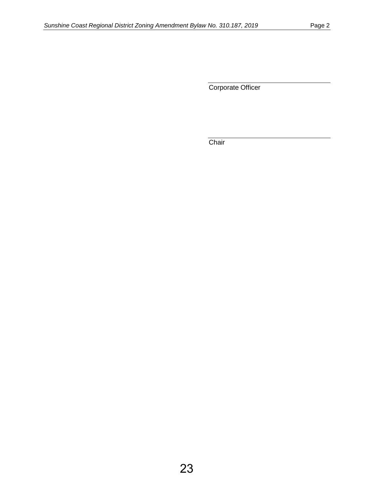Corporate Officer

**Chair**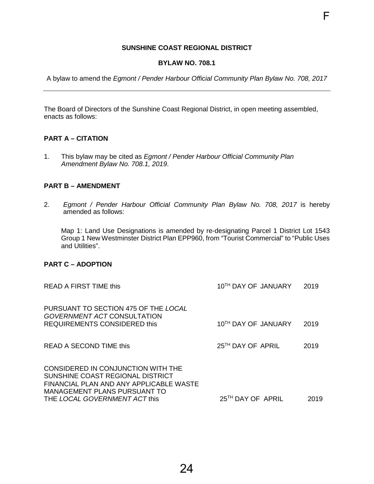### **SUNSHINE COAST REGIONAL DISTRICT**

F

#### **BYLAW NO. 708.1**

<span id="page-26-0"></span>A bylaw to amend the *Egmont / Pender Harbour Official Community Plan Bylaw No. 708, 2017*

The Board of Directors of the Sunshine Coast Regional District, in open meeting assembled, enacts as follows:

#### **PART A – CITATION**

1. This bylaw may be cited as *Egmont / Pender Harbour Official Community Plan Amendment Bylaw No. 708.1, 2019*.

#### **PART B – AMENDMENT**

2. *Egmont / Pender Harbour Official Community Plan Bylaw No. 708, 2017* is hereby amended as follows:

Map 1: Land Use Designations is amended by re-designating Parcel 1 District Lot 1543 Group 1 New Westminster District Plan EPP960, from "Tourist Commercial" to "Public Uses and Utilities".

### **PART C – ADOPTION**

| READ A FIRST TIME this                                                                                                                                                                    | 10TH DAY OF JANUARY           | 2019 |
|-------------------------------------------------------------------------------------------------------------------------------------------------------------------------------------------|-------------------------------|------|
| PURSUANT TO SECTION 475 OF THE LOCAL<br>GOVERNMENT ACT CONSULTATION<br>REQUIREMENTS CONSIDERED this                                                                                       | 10TH DAY OF JANUARY           | 2019 |
| READ A SECOND TIME this                                                                                                                                                                   | 25 <sup>TH</sup> DAY OF APRIL | 2019 |
| CONSIDERED IN CONJUNCTION WITH THE<br>SUNSHINE COAST REGIONAL DISTRICT<br>FINANCIAL PLAN AND ANY APPLICABLE WASTE<br><b>MANAGEMENT PLANS PURSUANT TO</b><br>THE LOCAL GOVERNMENT ACT this | 25 <sup>TH</sup> DAY OF APRIL | 2019 |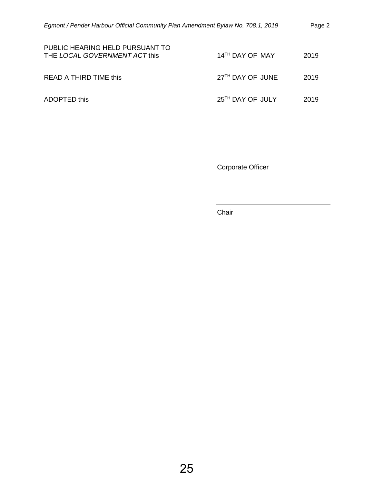| PUBLIC HEARING HELD PURSUANT TO<br>THE LOCAL GOVERNMENT ACT this | 14 <sup>TH</sup> DAY OF MAY  | 2019 |
|------------------------------------------------------------------|------------------------------|------|
| <b>READ A THIRD TIME this</b>                                    | 27 <sup>TH</sup> DAY OF JUNE | 2019 |
| ADOPTED this                                                     | 25 <sup>TH</sup> DAY OF JULY | 2019 |

Corporate Officer

Chair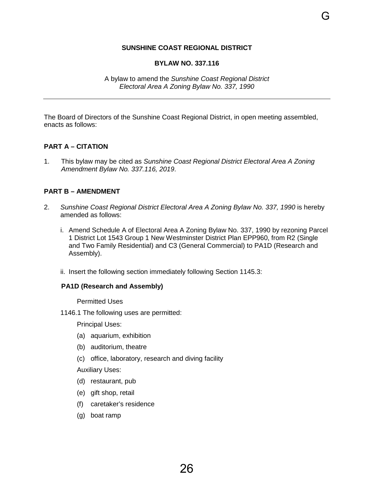### **SUNSHINE COAST REGIONAL DISTRICT**

#### **BYLAW NO. 337.116**

<span id="page-28-0"></span>The Board of Directors of the Sunshine Coast Regional District, in open meeting assembled, enacts as follows:

#### **PART A – CITATION**

1. This bylaw may be cited as *Sunshine Coast Regional District Electoral Area A Zoning Amendment Bylaw No. 337.116, 2019*.

#### **PART B – AMENDMENT**

- 2. *Sunshine Coast Regional District Electoral Area A Zoning Bylaw No. 337, 1990* is hereby amended as follows:
	- i. Amend Schedule A of Electoral Area A Zoning Bylaw No. 337, 1990 by rezoning Parcel 1 District Lot 1543 Group 1 New Westminster District Plan EPP960, from R2 (Single and Two Family Residential) and C3 (General Commercial) to PA1D (Research and Assembly).
	- ii. Insert the following section immediately following Section 1145.3:

#### **PA1D (Research and Assembly)**

Permitted Uses

1146.1 The following uses are permitted:

Principal Uses:

- (a) aquarium, exhibition
- (b) auditorium, theatre
- (c) office, laboratory, research and diving facility

Auxiliary Uses:

- (d) restaurant, pub
- (e) gift shop, retail
- (f) caretaker's residence
- (g) boat ramp

G